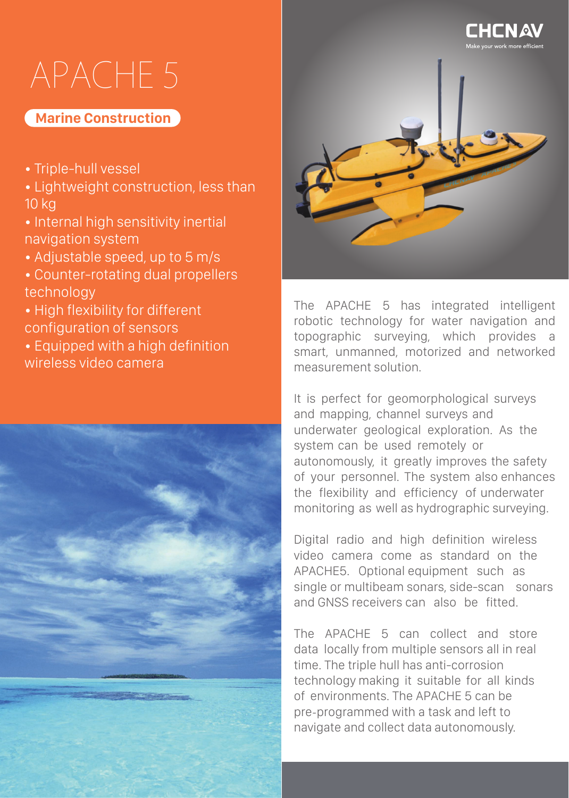# APACHE 5

### **Marine Construction**

- Triple-hull vessel
- Lightweight construction, less than 10 kg
- Internal high sensitivity inertial navigation system
- Adjustable speed, up to 5 m/s
- Counter-rotating dual propellers technology
- High flexibility for different configuration of sensors
- Equipped with a high definition wireless video camera





The APACHE 5 has integrated intelligent robotic technology for water navigation and topographic surveying, which provides a smart, unmanned, motorized and networked measurement solution.

It is perfect for geomorphological surveys and mapping, channel surveys and underwater geological exploration. As the system can be used remotely or autonomously, it greatly improves the safety of your personnel. The system also enhances the flexibility and efficiency of underwater monitoring as well as hydrographic surveying.

Digital radio and high definition wireless video camera come as standard on the APACHE5. Optional equipment such as single or multibeam sonars, side-scan sonars and GNSS receivers can also be fitted.

The APACHE 5 can collect and store data locally from multiple sensors all in real time. The triple hull has anti-corrosion technology making it suitable for all kinds of environments. The APACHE 5 can be pre-programmed with a task and left to navigate and collect data autonomously.